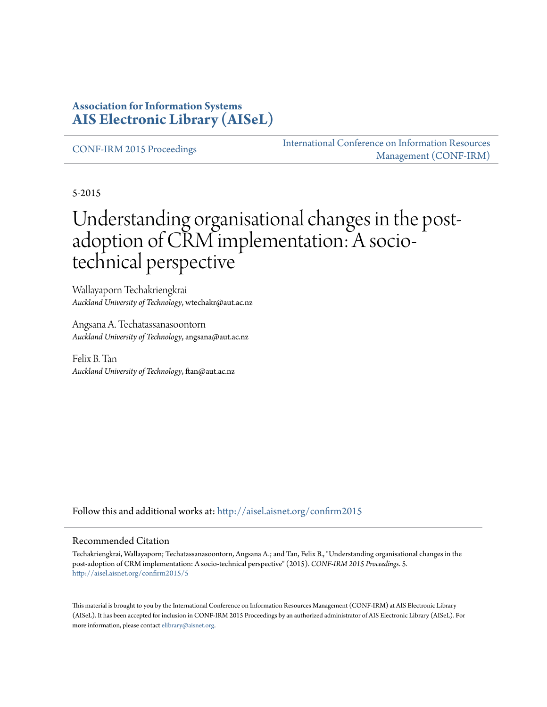## **Association for Information Systems [AIS Electronic Library \(AISeL\)](http://aisel.aisnet.org?utm_source=aisel.aisnet.org%2Fconfirm2015%2F5&utm_medium=PDF&utm_campaign=PDFCoverPages)**

[CONF-IRM 2015 Proceedings](http://aisel.aisnet.org/confirm2015?utm_source=aisel.aisnet.org%2Fconfirm2015%2F5&utm_medium=PDF&utm_campaign=PDFCoverPages)

[International Conference on Information Resources](http://aisel.aisnet.org/conf-irm?utm_source=aisel.aisnet.org%2Fconfirm2015%2F5&utm_medium=PDF&utm_campaign=PDFCoverPages) [Management \(CONF-IRM\)](http://aisel.aisnet.org/conf-irm?utm_source=aisel.aisnet.org%2Fconfirm2015%2F5&utm_medium=PDF&utm_campaign=PDFCoverPages)

5-2015

# Understanding organisational changes in the postadoption of CRM implementation: A sociotechnical perspective

Wallayaporn Techakriengkrai *Auckland University of Technology*, wtechakr@aut.ac.nz

Angsana A. Techatassanasoontorn *Auckland University of Technology*, angsana@aut.ac.nz

Felix B. Tan *Auckland University of Technology*, ftan@aut.ac.nz

Follow this and additional works at: [http://aisel.aisnet.org/confirm2015](http://aisel.aisnet.org/confirm2015?utm_source=aisel.aisnet.org%2Fconfirm2015%2F5&utm_medium=PDF&utm_campaign=PDFCoverPages)

#### Recommended Citation

Techakriengkrai, Wallayaporn; Techatassanasoontorn, Angsana A.; and Tan, Felix B., "Understanding organisational changes in the post-adoption of CRM implementation: A socio-technical perspective" (2015). *CONF-IRM 2015 Proceedings*. 5. [http://aisel.aisnet.org/confirm2015/5](http://aisel.aisnet.org/confirm2015/5?utm_source=aisel.aisnet.org%2Fconfirm2015%2F5&utm_medium=PDF&utm_campaign=PDFCoverPages)

This material is brought to you by the International Conference on Information Resources Management (CONF-IRM) at AIS Electronic Library (AISeL). It has been accepted for inclusion in CONF-IRM 2015 Proceedings by an authorized administrator of AIS Electronic Library (AISeL). For more information, please contact [elibrary@aisnet.org.](mailto:elibrary@aisnet.org%3E)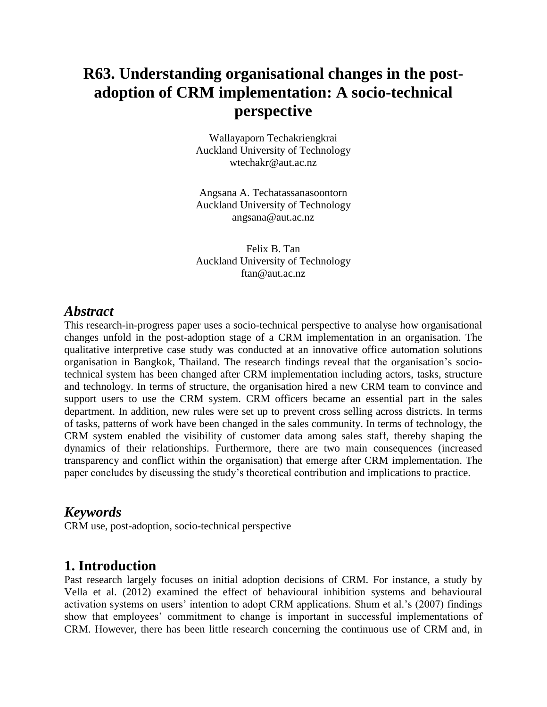## **R63. Understanding organisational changes in the postadoption of CRM implementation: A socio-technical perspective**

Wallayaporn Techakriengkrai Auckland University of Technology wtechakr@aut.ac.nz

Angsana A. Techatassanasoontorn Auckland University of Technology angsana@aut.ac.nz

Felix B. Tan Auckland University of Technology ftan@aut.ac.nz

#### *Abstract*

This research-in-progress paper uses a socio-technical perspective to analyse how organisational changes unfold in the post-adoption stage of a CRM implementation in an organisation. The qualitative interpretive case study was conducted at an innovative office automation solutions organisation in Bangkok, Thailand. The research findings reveal that the organisation's sociotechnical system has been changed after CRM implementation including actors, tasks, structure and technology. In terms of structure, the organisation hired a new CRM team to convince and support users to use the CRM system. CRM officers became an essential part in the sales department. In addition, new rules were set up to prevent cross selling across districts. In terms of tasks, patterns of work have been changed in the sales community. In terms of technology, the CRM system enabled the visibility of customer data among sales staff, thereby shaping the dynamics of their relationships. Furthermore, there are two main consequences (increased transparency and conflict within the organisation) that emerge after CRM implementation. The paper concludes by discussing the study's theoretical contribution and implications to practice.

## *Keywords*

CRM use, post-adoption, socio-technical perspective

## **1. Introduction**

Past research largely focuses on initial adoption decisions of CRM. For instance, a study by Vella et al. (2012) examined the effect of behavioural inhibition systems and behavioural activation systems on users' intention to adopt CRM applications. Shum et al.'s (2007) findings show that employees' commitment to change is important in successful implementations of CRM. However, there has been little research concerning the continuous use of CRM and, in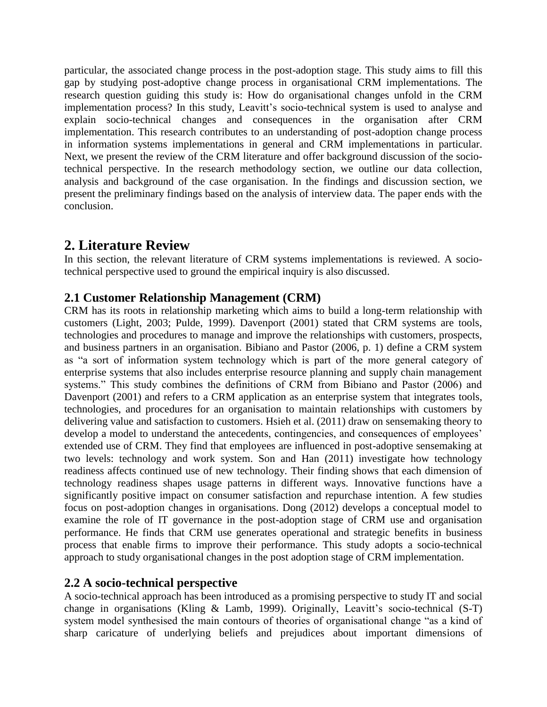particular, the associated change process in the post-adoption stage. This study aims to fill this gap by studying post-adoptive change process in organisational CRM implementations. The research question guiding this study is: How do organisational changes unfold in the CRM implementation process? In this study, Leavitt's socio-technical system is used to analyse and explain socio-technical changes and consequences in the organisation after CRM implementation. This research contributes to an understanding of post-adoption change process in information systems implementations in general and CRM implementations in particular. Next, we present the review of the CRM literature and offer background discussion of the sociotechnical perspective. In the research methodology section, we outline our data collection, analysis and background of the case organisation. In the findings and discussion section, we present the preliminary findings based on the analysis of interview data. The paper ends with the conclusion.

## **2. Literature Review**

In this section, the relevant literature of CRM systems implementations is reviewed. A sociotechnical perspective used to ground the empirical inquiry is also discussed.

#### **2.1 Customer Relationship Management (CRM)**

CRM has its roots in relationship marketing which aims to build a long-term relationship with customers (Light, 2003; Pulde, 1999). Davenport (2001) stated that CRM systems are tools, technologies and procedures to manage and improve the relationships with customers, prospects, and business partners in an organisation. Bibiano and Pastor (2006, p. 1) define a CRM system as "a sort of information system technology which is part of the more general category of enterprise systems that also includes enterprise resource planning and supply chain management systems." This study combines the definitions of CRM from Bibiano and Pastor (2006) and Davenport (2001) and refers to a CRM application as an enterprise system that integrates tools, technologies, and procedures for an organisation to maintain relationships with customers by delivering value and satisfaction to customers. Hsieh et al. (2011) draw on sensemaking theory to develop a model to understand the antecedents, contingencies, and consequences of employees' extended use of CRM. They find that employees are influenced in post-adoptive sensemaking at two levels: technology and work system. Son and Han (2011) investigate how technology readiness affects continued use of new technology. Their finding shows that each dimension of technology readiness shapes usage patterns in different ways. Innovative functions have a significantly positive impact on consumer satisfaction and repurchase intention. A few studies focus on post-adoption changes in organisations. Dong (2012) develops a conceptual model to examine the role of IT governance in the post-adoption stage of CRM use and organisation performance. He finds that CRM use generates operational and strategic benefits in business process that enable firms to improve their performance. This study adopts a socio-technical approach to study organisational changes in the post adoption stage of CRM implementation.

#### **2.2 A socio-technical perspective**

A socio-technical approach has been introduced as a promising perspective to study IT and social change in organisations (Kling & Lamb, 1999). Originally, Leavitt's socio-technical (S-T) system model synthesised the main contours of theories of organisational change "as a kind of sharp caricature of underlying beliefs and prejudices about important dimensions of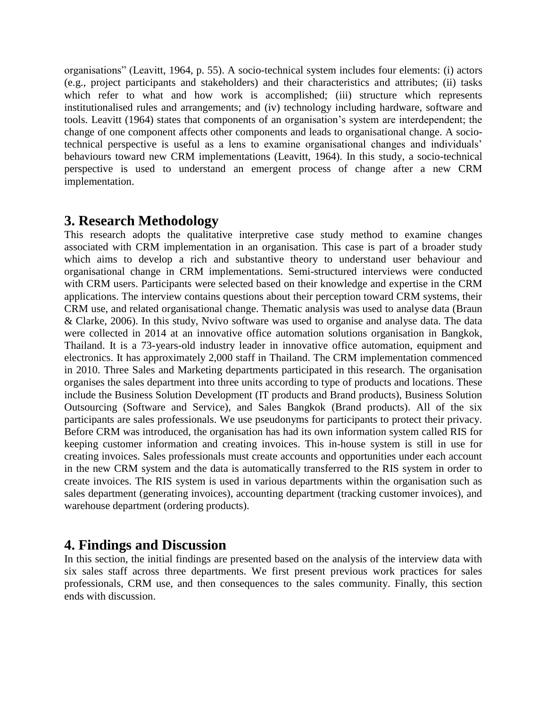organisations" (Leavitt, 1964, p. 55). A socio-technical system includes four elements: (i) actors (e.g., project participants and stakeholders) and their characteristics and attributes; (ii) tasks which refer to what and how work is accomplished; (iii) structure which represents institutionalised rules and arrangements; and (iv) technology including hardware, software and tools. Leavitt (1964) states that components of an organisation's system are interdependent; the change of one component affects other components and leads to organisational change. A sociotechnical perspective is useful as a lens to examine organisational changes and individuals' behaviours toward new CRM implementations (Leavitt, 1964). In this study, a socio-technical perspective is used to understand an emergent process of change after a new CRM implementation.

## **3. Research Methodology**

This research adopts the qualitative interpretive case study method to examine changes associated with CRM implementation in an organisation. This case is part of a broader study which aims to develop a rich and substantive theory to understand user behaviour and organisational change in CRM implementations. Semi-structured interviews were conducted with CRM users. Participants were selected based on their knowledge and expertise in the CRM applications. The interview contains questions about their perception toward CRM systems, their CRM use, and related organisational change. Thematic analysis was used to analyse data (Braun & Clarke, 2006). In this study, Nvivo software was used to organise and analyse data. The data were collected in 2014 at an innovative office automation solutions organisation in Bangkok, Thailand. It is a 73-years-old industry leader in innovative office automation, equipment and electronics. It has approximately 2,000 staff in Thailand. The CRM implementation commenced in 2010. Three Sales and Marketing departments participated in this research. The organisation organises the sales department into three units according to type of products and locations. These include the Business Solution Development (IT products and Brand products), Business Solution Outsourcing (Software and Service), and Sales Bangkok (Brand products). All of the six participants are sales professionals. We use pseudonyms for participants to protect their privacy. Before CRM was introduced, the organisation has had its own information system called RIS for keeping customer information and creating invoices. This in-house system is still in use for creating invoices. Sales professionals must create accounts and opportunities under each account in the new CRM system and the data is automatically transferred to the RIS system in order to create invoices. The RIS system is used in various departments within the organisation such as sales department (generating invoices), accounting department (tracking customer invoices), and warehouse department (ordering products).

## **4. Findings and Discussion**

In this section, the initial findings are presented based on the analysis of the interview data with six sales staff across three departments. We first present previous work practices for sales professionals, CRM use, and then consequences to the sales community. Finally, this section ends with discussion.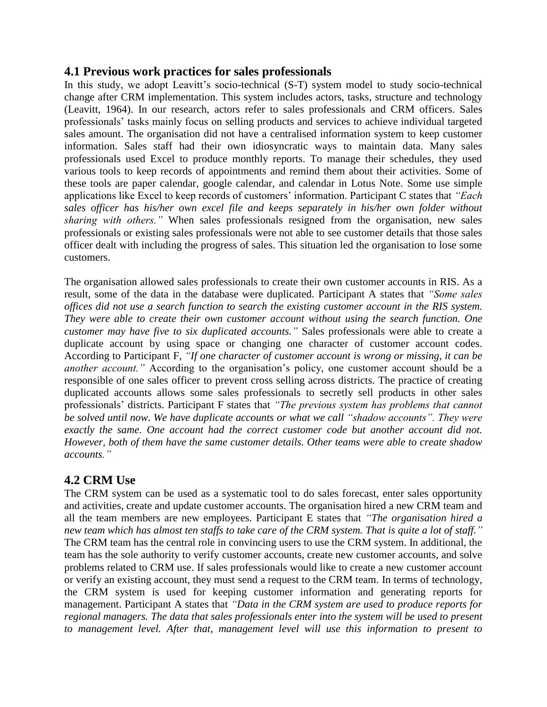#### **4.1 Previous work practices for sales professionals**

In this study, we adopt Leavitt's socio-technical (S-T) system model to study socio-technical change after CRM implementation. This system includes actors, tasks, structure and technology (Leavitt, 1964). In our research, actors refer to sales professionals and CRM officers. Sales professionals' tasks mainly focus on selling products and services to achieve individual targeted sales amount. The organisation did not have a centralised information system to keep customer information. Sales staff had their own idiosyncratic ways to maintain data. Many sales professionals used Excel to produce monthly reports. To manage their schedules, they used various tools to keep records of appointments and remind them about their activities. Some of these tools are paper calendar, google calendar, and calendar in Lotus Note. Some use simple applications like Excel to keep records of customers' information. Participant C states that *"Each sales officer has his/her own excel file and keeps separately in his/her own folder without sharing with others."* When sales professionals resigned from the organisation, new sales professionals or existing sales professionals were not able to see customer details that those sales officer dealt with including the progress of sales. This situation led the organisation to lose some customers.

The organisation allowed sales professionals to create their own customer accounts in RIS. As a result, some of the data in the database were duplicated. Participant A states that *"Some sales offices did not use a search function to search the existing customer account in the RIS system. They were able to create their own customer account without using the search function. One customer may have five to six duplicated accounts."* Sales professionals were able to create a duplicate account by using space or changing one character of customer account codes. According to Participant F, *"If one character of customer account is wrong or missing, it can be another account.*" According to the organisation's policy, one customer account should be a responsible of one sales officer to prevent cross selling across districts. The practice of creating duplicated accounts allows some sales professionals to secretly sell products in other sales professionals' districts. Participant F states that *"The previous system has problems that cannot be solved until now. We have duplicate accounts or what we call "shadow accounts". They were exactly the same. One account had the correct customer code but another account did not. However, both of them have the same customer details. Other teams were able to create shadow accounts."*

### **4.2 CRM Use**

The CRM system can be used as a systematic tool to do sales forecast, enter sales opportunity and activities, create and update customer accounts. The organisation hired a new CRM team and all the team members are new employees. Participant E states that *"The organisation hired a new team which has almost ten staffs to take care of the CRM system. That is quite a lot of staff."* The CRM team has the central role in convincing users to use the CRM system. In additional, the team has the sole authority to verify customer accounts, create new customer accounts, and solve problems related to CRM use. If sales professionals would like to create a new customer account or verify an existing account, they must send a request to the CRM team. In terms of technology, the CRM system is used for keeping customer information and generating reports for management. Participant A states that *"Data in the CRM system are used to produce reports for regional managers. The data that sales professionals enter into the system will be used to present to management level. After that, management level will use this information to present to*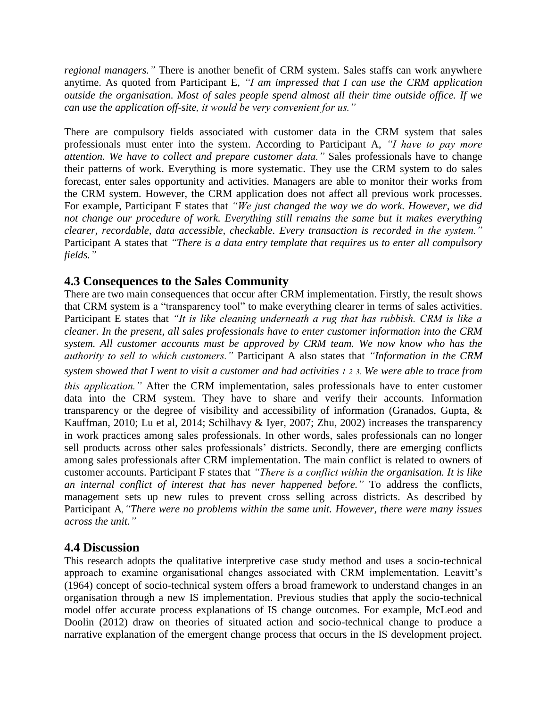*regional managers."* There is another benefit of CRM system. Sales staffs can work anywhere anytime. As quoted from Participant E, *"I am impressed that I can use the CRM application outside the organisation. Most of sales people spend almost all their time outside office. If we can use the application off-site, it would be very convenient for us."*

There are compulsory fields associated with customer data in the CRM system that sales professionals must enter into the system. According to Participant A, *"I have to pay more attention. We have to collect and prepare customer data."* Sales professionals have to change their patterns of work. Everything is more systematic. They use the CRM system to do sales forecast, enter sales opportunity and activities. Managers are able to monitor their works from the CRM system. However, the CRM application does not affect all previous work processes. For example, Participant F states that *"We just changed the way we do work. However, we did not change our procedure of work. Everything still remains the same but it makes everything clearer, recordable, data accessible, checkable. Every transaction is recorded in the system."* Participant A states that *"There is a data entry template that requires us to enter all compulsory fields."*

#### **4.3 Consequences to the Sales Community**

There are two main consequences that occur after CRM implementation. Firstly, the result shows that CRM system is a "transparency tool" to make everything clearer in terms of sales activities. Participant E states that *"It is like cleaning underneath a rug that has rubbish. CRM is like a cleaner. In the present, all sales professionals have to enter customer information into the CRM system. All customer accounts must be approved by CRM team. We now know who has the authority to sell to which customers."* Participant A also states that *"Information in the CRM system showed that I went to visit a customer and had activities 1 2 3. We were able to trace from this application."* After the CRM implementation, sales professionals have to enter customer data into the CRM system. They have to share and verify their accounts. Information transparency or the degree of visibility and accessibility of information (Granados, Gupta, & Kauffman, 2010; Lu et al, 2014; Schilhavy & Iyer, 2007; Zhu, 2002) increases the transparency in work practices among sales professionals. In other words, sales professionals can no longer sell products across other sales professionals' districts. Secondly, there are emerging conflicts among sales professionals after CRM implementation. The main conflict is related to owners of customer accounts. Participant F states that *"There is a conflict within the organisation. It is like an internal conflict of interest that has never happened before."* To address the conflicts, management sets up new rules to prevent cross selling across districts. As described by Participant A*,"There were no problems within the same unit. However, there were many issues across the unit."*

#### **4.4 Discussion**

This research adopts the qualitative interpretive case study method and uses a socio-technical approach to examine organisational changes associated with CRM implementation. Leavitt's (1964) concept of socio-technical system offers a broad framework to understand changes in an organisation through a new IS implementation. Previous studies that apply the socio-technical model offer accurate process explanations of IS change outcomes. For example, McLeod and Doolin (2012) draw on theories of situated action and socio-technical change to produce a narrative explanation of the emergent change process that occurs in the IS development project.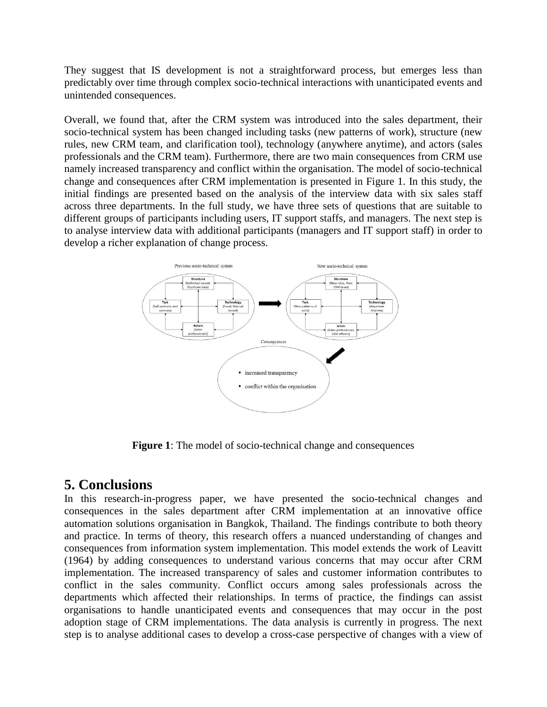They suggest that IS development is not a straightforward process, but emerges less than predictably over time through complex socio-technical interactions with unanticipated events and unintended consequences.

Overall, we found that, after the CRM system was introduced into the sales department, their socio-technical system has been changed including tasks (new patterns of work), structure (new rules, new CRM team, and clarification tool), technology (anywhere anytime), and actors (sales professionals and the CRM team). Furthermore, there are two main consequences from CRM use namely increased transparency and conflict within the organisation. The model of socio-technical change and consequences after CRM implementation is presented in Figure 1. In this study, the initial findings are presented based on the analysis of the interview data with six sales staff across three departments. In the full study, we have three sets of questions that are suitable to different groups of participants including users, IT support staffs, and managers. The next step is to analyse interview data with additional participants (managers and IT support staff) in order to develop a richer explanation of change process.



**Figure 1**: The model of socio-technical change and consequences

## **5. Conclusions**

In this research-in-progress paper, we have presented the socio-technical changes and consequences in the sales department after CRM implementation at an innovative office automation solutions organisation in Bangkok, Thailand. The findings contribute to both theory and practice. In terms of theory, this research offers a nuanced understanding of changes and consequences from information system implementation. This model extends the work of Leavitt (1964) by adding consequences to understand various concerns that may occur after CRM implementation. The increased transparency of sales and customer information contributes to conflict in the sales community. Conflict occurs among sales professionals across the departments which affected their relationships. In terms of practice, the findings can assist organisations to handle unanticipated events and consequences that may occur in the post adoption stage of CRM implementations. The data analysis is currently in progress. The next step is to analyse additional cases to develop a cross-case perspective of changes with a view of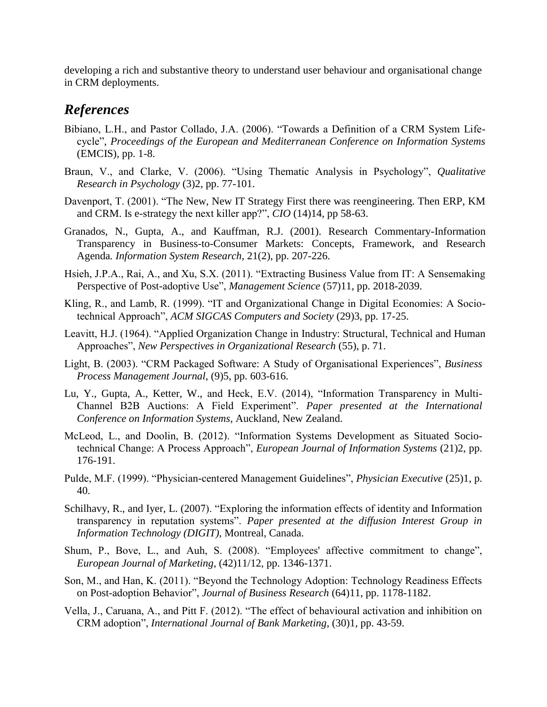developing a rich and substantive theory to understand user behaviour and organisational change in CRM deployments.

## *References*

- Bibiano, L.H., and Pastor Collado, J.A. (2006). "Towards a Definition of a CRM System Lifecycle", *Proceedings of the European and Mediterranean Conference on Information Systems* (EMCIS), pp. 1-8.
- Braun, V., and Clarke, V. (2006). "Using Thematic Analysis in Psychology", *Qualitative Research in Psychology* (3)2, pp. 77-101.
- Davenport, T. (2001). "The New, New IT Strategy First there was reengineering. Then ERP, KM and CRM. Is e-strategy the next killer app?", *CIO* (14)14, pp 58-63.
- Granados, N., Gupta, A., and Kauffman, R.J. (2001). Research Commentary-Information Transparency in Business-to-Consumer Markets: Concepts, Framework, and Research Agenda*. Information System Research*, 21(2), pp. 207-226.
- Hsieh, J.P.A., Rai, A., and Xu, S.X. (2011). "Extracting Business Value from IT: A Sensemaking Perspective of Post-adoptive Use", *Management Science* (57)11, pp. 2018-2039.
- Kling, R., and Lamb, R. (1999). "IT and Organizational Change in Digital Economies: A Sociotechnical Approach", *ACM SIGCAS Computers and Society* (29)3, pp. 17-25.
- Leavitt, H.J. (1964). "Applied Organization Change in Industry: Structural, Technical and Human Approaches", *New Perspectives in Organizational Research* (55), p. 71.
- Light, B. (2003). "CRM Packaged Software: A Study of Organisational Experiences", *Business Process Management Journal,* (9)5, pp. 603-616.
- Lu, Y., Gupta, A., Ketter, W., and Heck, E.V. (2014), "Information Transparency in Multi-Channel B2B Auctions: A Field Experiment". *Paper presented at the International Conference on Information Systems*, Auckland, New Zealand.
- McLeod, L., and Doolin, B. (2012). "Information Systems Development as Situated Sociotechnical Change: A Process Approach", *European Journal of Information Systems* (21)2, pp. 176-191.
- Pulde, M.F. (1999). "Physician-centered Management Guidelines", *Physician Executive* (25)1, p. 40.
- Schilhavy, R., and Iyer, L. (2007). "Exploring the information effects of identity and Information transparency in reputation systems". *Paper presented at the diffusion Interest Group in Information Technology (DIGIT)*, Montreal, Canada.
- Shum, P., Bove, L., and Auh, S. (2008). "Employees' affective commitment to change", *European Journal of Marketing*, (42)11/12, pp. 1346-1371.
- Son, M., and Han, K. (2011). "Beyond the Technology Adoption: Technology Readiness Effects on Post-adoption Behavior", *Journal of Business Research* (64)11, pp. 1178-1182.
- Vella, J., Caruana, A., and Pitt F. (2012). "The effect of behavioural activation and inhibition on CRM adoption", *International Journal of Bank Marketing*, (30)1, pp. 43-59.